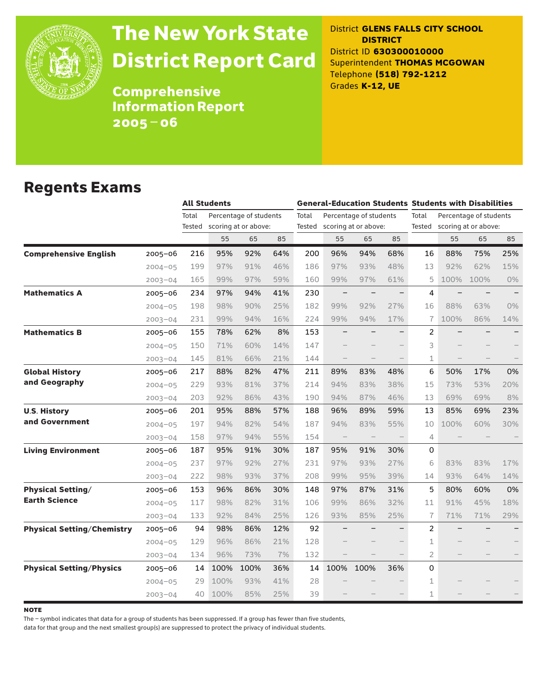

# The New York State District Report Card

District **GLENS FALLS CITY SCHOOL DISTRICT** District ID **630300010000** Superintendent **THOMAS MCGOWAN** Telephone **(518) 792-1212** Grades **K-12, UE**

**Comprehensive** Information Report 2005–06

### Regents Exams

|                                   |             |                 | <b>All Students</b> |                                                |     |       | <b>General-Education Students Students with Disabilities</b> |                        |     |                |                                                       |      |       |  |
|-----------------------------------|-------------|-----------------|---------------------|------------------------------------------------|-----|-------|--------------------------------------------------------------|------------------------|-----|----------------|-------------------------------------------------------|------|-------|--|
|                                   |             | Total<br>Tested |                     | Percentage of students<br>scoring at or above: |     | Total | Tested scoring at or above:                                  | Percentage of students |     | Total          | Percentage of students<br>Tested scoring at or above: |      |       |  |
|                                   |             |                 | 55                  | 65                                             | 85  |       | 55                                                           | 65                     | 85  |                | 55                                                    | 65   | 85    |  |
| <b>Comprehensive English</b>      | $2005 - 06$ | 216             | 95%                 | 92%                                            | 64% | 200   | 96%                                                          | 94%                    | 68% | 16             | 88%                                                   | 75%  | 25%   |  |
|                                   | $2004 - 05$ | 199             | 97%                 | 91%                                            | 46% | 186   | 97%                                                          | 93%                    | 48% | 13             | 92%                                                   | 62%  | 15%   |  |
|                                   | $2003 - 04$ | 165             | 99%                 | 97%                                            | 59% | 160   | 99%                                                          | 97%                    | 61% | 5              | 100%                                                  | 100% | 0%    |  |
| <b>Mathematics A</b>              | $2005 - 06$ | 234             | 97%                 | 94%                                            | 41% | 230   | $\qquad \qquad -$                                            |                        |     | 4              |                                                       |      |       |  |
|                                   | $2004 - 05$ | 198             | 98%                 | 90%                                            | 25% | 182   | 99%                                                          | 92%                    | 27% | 16             | 88%                                                   | 63%  | $0\%$ |  |
|                                   | $2003 - 04$ | 231             | 99%                 | 94%                                            | 16% | 224   | 99%                                                          | 94%                    | 17% | $\overline{1}$ | 100%                                                  | 86%  | 14%   |  |
| <b>Mathematics B</b>              | 2005-06     | 155             | 78%                 | 62%                                            | 8%  | 153   |                                                              |                        |     | 2              |                                                       |      |       |  |
|                                   | $2004 - 05$ | 150             | 71%                 | 60%                                            | 14% | 147   |                                                              |                        |     | 3              |                                                       |      |       |  |
|                                   | $2003 - 04$ | 145             | 81%                 | 66%                                            | 21% | 144   |                                                              |                        |     | 1              |                                                       |      |       |  |
| <b>Global History</b>             | 2005-06     | 217             | 88%                 | 82%                                            | 47% | 211   | 89%                                                          | 83%                    | 48% | 6              | 50%                                                   | 17%  | 0%    |  |
| and Geography                     | $2004 - 05$ | 229             | 93%                 | 81%                                            | 37% | 214   | 94%                                                          | 83%                    | 38% | 15             | 73%                                                   | 53%  | 20%   |  |
|                                   | $2003 - 04$ | 203             | 92%                 | 86%                                            | 43% | 190   | 94%                                                          | 87%                    | 46% | 13             | 69%                                                   | 69%  | 8%    |  |
| <b>U.S. History</b>               | $2005 - 06$ | 201             | 95%                 | 88%                                            | 57% | 188   | 96%                                                          | 89%                    | 59% | 13             | 85%                                                   | 69%  | 23%   |  |
| and Government                    | $2004 - 05$ | 197             | 94%                 | 82%                                            | 54% | 187   | 94%                                                          | 83%                    | 55% | 10             | 100%                                                  | 60%  | 30%   |  |
|                                   | $2003 - 04$ | 158             | 97%                 | 94%                                            | 55% | 154   | $\qquad \qquad -$                                            | $\qquad \qquad -$      |     | $\overline{4}$ |                                                       |      |       |  |
| <b>Living Environment</b>         | $2005 - 06$ | 187             | 95%                 | 91%                                            | 30% | 187   | 95%                                                          | 91%                    | 30% | 0              |                                                       |      |       |  |
|                                   | $2004 - 05$ | 237             | 97%                 | 92%                                            | 27% | 231   | 97%                                                          | 93%                    | 27% | 6              | 83%                                                   | 83%  | 17%   |  |
|                                   | $2003 - 04$ | 222             | 98%                 | 93%                                            | 37% | 208   | 99%                                                          | 95%                    | 39% | 14             | 93%                                                   | 64%  | 14%   |  |
| <b>Physical Setting/</b>          | $2005 - 06$ | 153             | 96%                 | 86%                                            | 30% | 148   | 97%                                                          | 87%                    | 31% | 5              | 80%                                                   | 60%  | 0%    |  |
| <b>Earth Science</b>              | $2004 - 05$ | 117             | 98%                 | 82%                                            | 31% | 106   | 99%                                                          | 86%                    | 32% | 11             | 91%                                                   | 45%  | 18%   |  |
|                                   | $2003 - 04$ | 133             | 92%                 | 84%                                            | 25% | 126   | 93%                                                          | 85%                    | 25% | $\overline{1}$ | 71%                                                   | 71%  | 29%   |  |
| <b>Physical Setting/Chemistry</b> | 2005–06     | 94              | 98%                 | 86%                                            | 12% | 92    |                                                              |                        |     | 2              |                                                       |      |       |  |
|                                   | $2004 - 05$ | 129             | 96%                 | 86%                                            | 21% | 128   |                                                              |                        |     | 1              |                                                       |      |       |  |
|                                   | $2003 - 04$ | 134             | 96%                 | 73%                                            | 7%  | 132   |                                                              |                        |     | $\overline{2}$ |                                                       |      |       |  |
| <b>Physical Setting/Physics</b>   | $2005 - 06$ | 14              | 100%                | 100%                                           | 36% | 14    | 100%                                                         | 100%                   | 36% | $\Omega$       |                                                       |      |       |  |
|                                   | $2004 - 05$ | 29              | 100%                | 93%                                            | 41% | 28    |                                                              |                        |     | 1              |                                                       |      |       |  |
|                                   | $2003 - 04$ | 40              | 100%                | 85%                                            | 25% | 39    |                                                              |                        |     | $\mathbf 1$    |                                                       |      |       |  |

**NOTE** 

The – symbol indicates that data for a group of students has been suppressed. If a group has fewer than five students,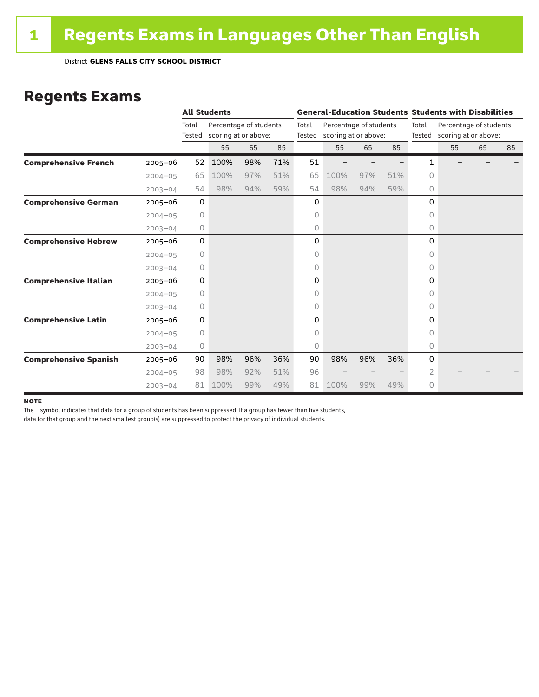#### Regents Exams

|                              |             |                 | <b>All Students</b>                            |     |     |       | <b>General-Education Students Students with Disabilities</b> |                        |     |         |                                                       |    |    |  |
|------------------------------|-------------|-----------------|------------------------------------------------|-----|-----|-------|--------------------------------------------------------------|------------------------|-----|---------|-------------------------------------------------------|----|----|--|
|                              |             | Total<br>Tested | Percentage of students<br>scoring at or above: |     |     | Total | Tested scoring at or above:                                  | Percentage of students |     | Total   | Percentage of students<br>Tested scoring at or above: |    |    |  |
|                              |             |                 | 55                                             | 65  | 85  |       | 55                                                           | 65                     | 85  |         | 55                                                    | 65 | 85 |  |
| <b>Comprehensive French</b>  | $2005 - 06$ | 52              | 100%                                           | 98% | 71% | 51    |                                                              |                        |     | 1       |                                                       |    |    |  |
|                              | $2004 - 05$ | 65              | 100%                                           | 97% | 51% | 65    | 100%                                                         | 97%                    | 51% | 0       |                                                       |    |    |  |
|                              | $2003 - 04$ | 54              | 98%                                            | 94% | 59% | 54    | 98%                                                          | 94%                    | 59% | 0       |                                                       |    |    |  |
| <b>Comprehensive German</b>  | $2005 - 06$ | $\mathbf 0$     |                                                |     |     | 0     |                                                              |                        |     | 0       |                                                       |    |    |  |
|                              | $2004 - 05$ | 0               |                                                |     |     | 0     |                                                              |                        |     | $\circ$ |                                                       |    |    |  |
|                              | $2003 - 04$ | $\circ$         |                                                |     |     | 0     |                                                              |                        |     | 0       |                                                       |    |    |  |
| <b>Comprehensive Hebrew</b>  | $2005 - 06$ | $\mathbf 0$     |                                                |     |     | 0     |                                                              |                        |     | 0       |                                                       |    |    |  |
|                              | $2004 - 05$ | $\circ$         |                                                |     |     | 0     |                                                              |                        |     | 0       |                                                       |    |    |  |
|                              | $2003 - 04$ | 0               |                                                |     |     | 0     |                                                              |                        |     | $\circ$ |                                                       |    |    |  |
| <b>Comprehensive Italian</b> | $2005 - 06$ | 0               |                                                |     |     | 0     |                                                              |                        |     | 0       |                                                       |    |    |  |
|                              | $2004 - 05$ | $\circ$         |                                                |     |     | 0     |                                                              |                        |     | 0       |                                                       |    |    |  |
|                              | $2003 - 04$ | 0               |                                                |     |     | 0     |                                                              |                        |     | 0       |                                                       |    |    |  |
| <b>Comprehensive Latin</b>   | $2005 - 06$ | 0               |                                                |     |     | 0     |                                                              |                        |     | 0       |                                                       |    |    |  |
|                              | $2004 - 05$ | $\circ$         |                                                |     |     | 0     |                                                              |                        |     | $\circ$ |                                                       |    |    |  |
|                              | $2003 - 04$ | 0               |                                                |     |     | 0     |                                                              |                        |     | 0       |                                                       |    |    |  |
| <b>Comprehensive Spanish</b> | $2005 - 06$ | 90              | 98%                                            | 96% | 36% | 90    | 98%                                                          | 96%                    | 36% | 0       |                                                       |    |    |  |
|                              | $2004 - 05$ | 98              | 98%                                            | 92% | 51% | 96    |                                                              |                        |     | 2       |                                                       |    |    |  |
|                              | $2003 - 04$ | 81              | 100%                                           | 99% | 49% | 81    | 100%                                                         | 99%                    | 49% | 0       |                                                       |    |    |  |

#### **NOTE**

The – symbol indicates that data for a group of students has been suppressed. If a group has fewer than five students,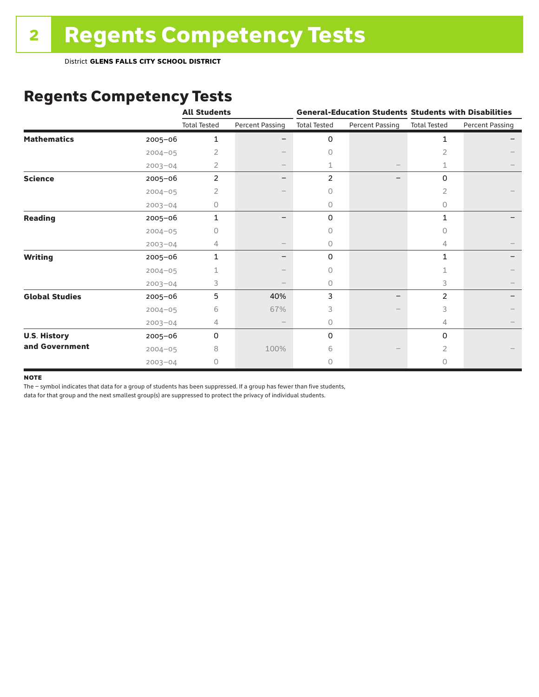District **GLENS FALLS CITY SCHOOL DISTRICT**

# Regents Competency Tests

|                       |             | <b>All Students</b> |                          |                     |                        | <b>General-Education Students Students with Disabilities</b> |                        |
|-----------------------|-------------|---------------------|--------------------------|---------------------|------------------------|--------------------------------------------------------------|------------------------|
|                       |             | <b>Total Tested</b> | <b>Percent Passing</b>   | <b>Total Tested</b> | <b>Percent Passing</b> | <b>Total Tested</b>                                          | <b>Percent Passing</b> |
| <b>Mathematics</b>    | 2005-06     | 1                   |                          | 0                   |                        | 1                                                            |                        |
|                       | $2004 - 05$ | 2                   |                          | $\circ$             |                        | 2                                                            |                        |
|                       | $2003 - 04$ | 2                   | $\overline{\phantom{0}}$ | 1                   |                        | 1                                                            |                        |
| <b>Science</b>        | 2005-06     | $\overline{2}$      |                          | 2                   |                        | 0                                                            |                        |
|                       | $2004 - 05$ | 2                   |                          | 0                   |                        | 2                                                            |                        |
|                       | $2003 - 04$ | 0                   |                          | 0                   |                        | 0                                                            |                        |
| <b>Reading</b>        | 2005-06     | 1                   |                          | 0                   |                        | 1                                                            |                        |
|                       | $2004 - 05$ | 0                   |                          | $\Omega$            |                        | 0                                                            |                        |
|                       | $2003 - 04$ | 4                   |                          | $\circ$             |                        | 4                                                            |                        |
| <b>Writing</b>        | 2005-06     | 1                   |                          | 0                   |                        | $\mathbf{1}$                                                 |                        |
|                       | $2004 - 05$ |                     |                          | 0                   |                        | 1                                                            |                        |
|                       | $2003 - 04$ | 3                   |                          | $\circ$             |                        | 3                                                            |                        |
| <b>Global Studies</b> | 2005-06     | 5                   | 40%                      | 3                   |                        | 2                                                            |                        |
|                       | $2004 - 05$ | 6                   | 67%                      | 3                   |                        | 3                                                            |                        |
|                       | $2003 - 04$ | 4                   | $\overline{\phantom{m}}$ | $\circ$             |                        | 4                                                            |                        |
| <b>U.S. History</b>   | 2005-06     | 0                   |                          | 0                   |                        | 0                                                            |                        |
| and Government        | $2004 - 05$ | 8                   | 100%                     | 6                   |                        | 2                                                            |                        |
|                       | $2003 - 04$ | 0                   |                          | $\circ$             |                        | 0                                                            |                        |

#### **NOTE**

The – symbol indicates that data for a group of students has been suppressed. If a group has fewer than five students,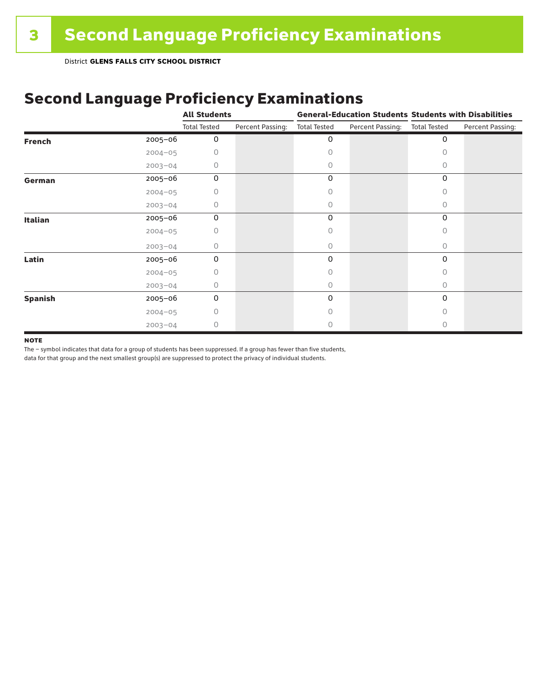# Second Language Proficiency Examinations

|                |             | <b>All Students</b> |                  | <b>General-Education Students Students with Disabilities</b> |                  |                     |                  |
|----------------|-------------|---------------------|------------------|--------------------------------------------------------------|------------------|---------------------|------------------|
|                |             | <b>Total Tested</b> | Percent Passing: | <b>Total Tested</b>                                          | Percent Passing: | <b>Total Tested</b> | Percent Passing: |
| <b>French</b>  | $2005 - 06$ | 0                   |                  | 0                                                            |                  | 0                   |                  |
|                | $2004 - 05$ | 0                   |                  | 0                                                            |                  | Ω                   |                  |
|                | $2003 - 04$ | 0                   |                  | 0                                                            |                  | O                   |                  |
| German         | 2005-06     | 0                   |                  | 0                                                            |                  | 0                   |                  |
|                | $2004 - 05$ | 0                   |                  | 0                                                            |                  | 0                   |                  |
|                | $2003 - 04$ | 0                   |                  | 0                                                            |                  | 0                   |                  |
| Italian        | 2005-06     | 0                   |                  | 0                                                            |                  | 0                   |                  |
|                | $2004 - 05$ | Ω                   |                  | 0                                                            |                  | $\Omega$            |                  |
|                | $2003 - 04$ | 0                   |                  | 0                                                            |                  | 0                   |                  |
| Latin          | 2005-06     | $\Omega$            |                  | 0                                                            |                  | $\Omega$            |                  |
|                | $2004 - 05$ | Ω                   |                  | Ω                                                            |                  | O                   |                  |
|                | $2003 - 04$ | 0                   |                  | 0                                                            |                  | 0                   |                  |
| <b>Spanish</b> | 2005-06     | 0                   |                  | 0                                                            |                  | 0                   |                  |
|                | $2004 - 05$ | 0                   |                  | 0                                                            |                  | 0                   |                  |
|                | $2003 - 04$ | 0                   |                  | Ω                                                            |                  | O                   |                  |

#### **NOTE**

The – symbol indicates that data for a group of students has been suppressed. If a group has fewer than five students,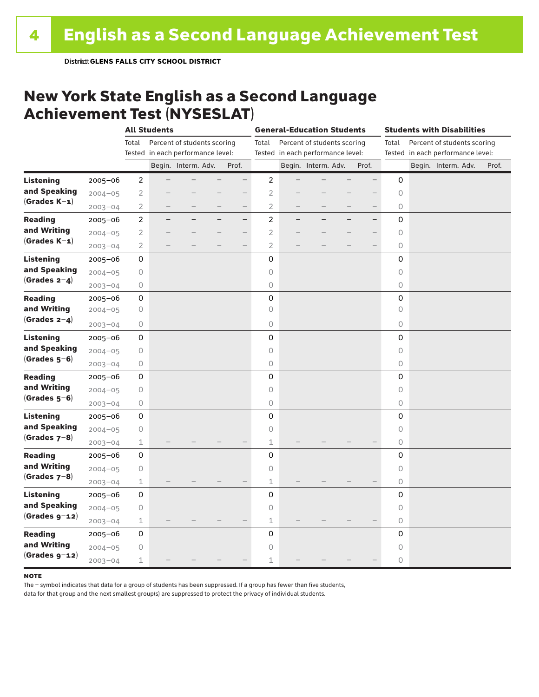#### New York State English as a Second Language Achievement Test (NYSESLAT)

|                  |             |                | <b>All Students</b> |                                   |                   | <b>General-Education Students</b> |  |                                   |  | <b>Students with Disabilities</b> |         |  |                                   |       |
|------------------|-------------|----------------|---------------------|-----------------------------------|-------------------|-----------------------------------|--|-----------------------------------|--|-----------------------------------|---------|--|-----------------------------------|-------|
|                  |             | Total          |                     | Percent of students scoring       |                   | Total                             |  | Percent of students scoring       |  |                                   | Total   |  | Percent of students scoring       |       |
|                  |             |                |                     | Tested in each performance level: |                   |                                   |  | Tested in each performance level: |  |                                   |         |  | Tested in each performance level: |       |
|                  |             |                |                     | Begin. Interm. Adv.               | Prof.             |                                   |  | Begin. Interm. Adv.               |  | Prof.                             |         |  | Begin. Interm. Adv.               | Prof. |
| <b>Listening</b> | 2005-06     | $\overline{2}$ |                     |                                   | -                 | $\overline{c}$                    |  |                                   |  |                                   | 0       |  |                                   |       |
| and Speaking     | $2004 - 05$ | $\overline{2}$ |                     |                                   |                   | $\overline{2}$                    |  |                                   |  |                                   | $\circ$ |  |                                   |       |
| $(Grades K-1)$   | $2003 - 04$ | $\overline{2}$ |                     |                                   | $\qquad \qquad -$ | $\overline{2}$                    |  |                                   |  | $\qquad \qquad -$                 | 0       |  |                                   |       |
| <b>Reading</b>   | $2005 - 06$ | $\overline{c}$ |                     |                                   | $-$               | $\overline{c}$                    |  |                                   |  | $\overline{\phantom{0}}$          | 0       |  |                                   |       |
| and Writing      | $2004 - 05$ | $\overline{2}$ |                     |                                   |                   | $\overline{2}$                    |  |                                   |  |                                   | 0       |  |                                   |       |
| $(Grades K-1)$   | $2003 - 04$ | $\overline{2}$ |                     |                                   |                   | $\overline{2}$                    |  |                                   |  |                                   | 0       |  |                                   |       |
| <b>Listening</b> | $2005 - 06$ | 0              |                     |                                   |                   | 0                                 |  |                                   |  |                                   | 0       |  |                                   |       |
| and Speaking     | $2004 - 05$ | $\bigcirc$     |                     |                                   |                   | 0                                 |  |                                   |  |                                   | 0       |  |                                   |       |
| (Grades $2-4$ )  | $2003 - 04$ | 0              |                     |                                   |                   | $\circ$                           |  |                                   |  |                                   | $\circ$ |  |                                   |       |
| <b>Reading</b>   | 2005-06     | 0              |                     |                                   |                   | 0                                 |  |                                   |  |                                   | 0       |  |                                   |       |
| and Writing      | $2004 - 05$ | 0              |                     |                                   |                   | $\circ$                           |  |                                   |  |                                   | 0       |  |                                   |       |
| $(Grades 2-4)$   | $2003 - 04$ | 0              |                     |                                   |                   | 0                                 |  |                                   |  |                                   | 0       |  |                                   |       |
| <b>Listening</b> | $2005 - 06$ | 0              |                     |                                   |                   | 0                                 |  |                                   |  |                                   | 0       |  |                                   |       |
| and Speaking     | $2004 - 05$ | 0              |                     |                                   |                   | 0                                 |  |                                   |  |                                   | 0       |  |                                   |       |
| $(Grades 5-6)$   | $2003 - 04$ | 0              |                     |                                   |                   | 0                                 |  |                                   |  |                                   | 0       |  |                                   |       |
| <b>Reading</b>   | 2005-06     | 0              |                     |                                   |                   | 0                                 |  |                                   |  |                                   | 0       |  |                                   |       |
| and Writing      | $2004 - 05$ | $\bigcirc$     |                     |                                   |                   | 0                                 |  |                                   |  |                                   | 0       |  |                                   |       |
| $(Grades 5-6)$   | $2003 - 04$ | $\circ$        |                     |                                   |                   | $\circ$                           |  |                                   |  |                                   | 0       |  |                                   |       |
| <b>Listening</b> | $2005 - 06$ | 0              |                     |                                   |                   | 0                                 |  |                                   |  |                                   | 0       |  |                                   |       |
| and Speaking     | $2004 - 05$ | 0              |                     |                                   |                   | 0                                 |  |                                   |  |                                   | 0       |  |                                   |       |
| $(Grades 7-8)$   | $2003 - 04$ | 1              |                     |                                   |                   | 1                                 |  |                                   |  |                                   | 0       |  |                                   |       |
| <b>Reading</b>   | $2005 - 06$ | 0              |                     |                                   |                   | 0                                 |  |                                   |  |                                   | 0       |  |                                   |       |
| and Writing      | $2004 - 05$ | $\bigcirc$     |                     |                                   |                   | $\overline{O}$                    |  |                                   |  |                                   | 0       |  |                                   |       |
| $(Grades 7-8)$   | $2003 - 04$ | $\mathbbm{1}$  |                     |                                   |                   | $\mathbf 1$                       |  |                                   |  |                                   | $\circ$ |  |                                   |       |
| <b>Listening</b> | $2005 - 06$ | 0              |                     |                                   |                   | 0                                 |  |                                   |  |                                   | 0       |  |                                   |       |
| and Speaking     | $2004 - 05$ | 0              |                     |                                   |                   | 0                                 |  |                                   |  |                                   | 0       |  |                                   |       |
| $(Grades g-12)$  | $2003 - 04$ | $\mathbf 1$    |                     |                                   |                   | $\mathbf 1$                       |  |                                   |  |                                   | 0       |  |                                   |       |
| <b>Reading</b>   | $2005 - 06$ | 0              |                     |                                   |                   | 0                                 |  |                                   |  |                                   | 0       |  |                                   |       |
| and Writing      | $2004 - 05$ | 0              |                     |                                   |                   | 0                                 |  |                                   |  |                                   | 0       |  |                                   |       |
| $(Grades g-12)$  | $2003 - 04$ | $\mathbf 1$    |                     |                                   |                   | 1                                 |  |                                   |  |                                   | 0       |  |                                   |       |

#### **NOTE**

The – symbol indicates that data for a group of students has been suppressed. If a group has fewer than five students,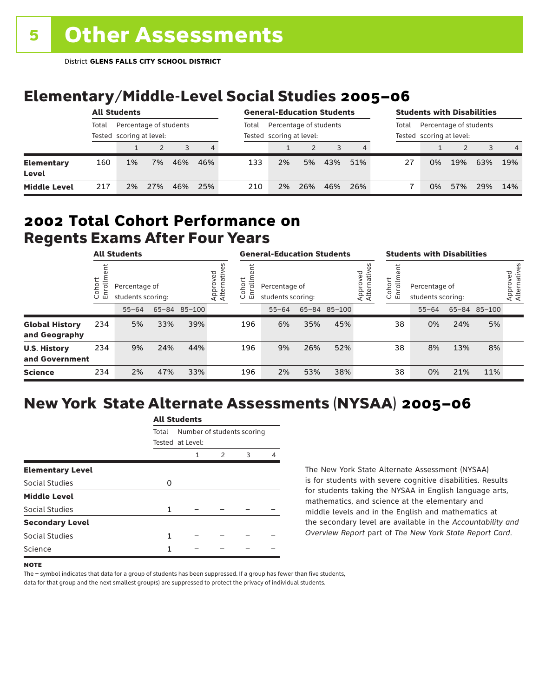# Elementary/Middle-Level Social Studies 2005–06

|                            | <b>All Students</b> |                                                    |     |     |     | <b>General-Education Students</b> |                                                    |     |     |     | <b>Students with Disabilities</b> |                                                    |               |     |     |
|----------------------------|---------------------|----------------------------------------------------|-----|-----|-----|-----------------------------------|----------------------------------------------------|-----|-----|-----|-----------------------------------|----------------------------------------------------|---------------|-----|-----|
|                            | Total               | Percentage of students<br>Tested scoring at level: |     |     |     | Total                             | Percentage of students<br>Tested scoring at level: |     |     |     | Total                             | Percentage of students<br>Tested scoring at level: |               |     |     |
|                            |                     |                                                    |     |     | 4   |                                   |                                                    |     |     | 4   |                                   |                                                    | $\mathcal{P}$ |     | 4   |
| <b>Elementary</b><br>Level | 160                 | 1%                                                 | 7%  | 46% | 46% | 133                               | 2%                                                 | 5%  | 43% | 51% | 27                                | 0%                                                 | 19%           | 63% | 19% |
| <b>Middle Level</b>        | 217                 | 2%                                                 | 27% | 46% | 25% | 210                               | 2%                                                 | 26% | 46% | 26% |                                   | 0%                                                 | 57%           | 29% | 14% |

#### Regents Exams After Four Years 2002 **Total Cohort Performance on**

|                                        | <b>All Students</b>        |           |                                                    |     |  | <b>General-Education Students</b> |                                    |     |              |                         | <b>Students with Disabilities</b> |                                    |     |              |                          |
|----------------------------------------|----------------------------|-----------|----------------------------------------------------|-----|--|-----------------------------------|------------------------------------|-----|--------------|-------------------------|-----------------------------------|------------------------------------|-----|--------------|--------------------------|
|                                        | ohort<br>o<br>亩<br>$\circ$ |           | Percentage of<br>students scoring:<br>65-84 85-100 |     |  | Cohort<br>ᅙ<br>띧                  | Percentage of<br>students scoring: |     |              | Approved<br>Alternative | Cohort<br>ē<br>문                  | Percentage of<br>students scoring: |     |              | Approved<br>Alternatives |
|                                        |                            | $55 - 64$ |                                                    |     |  |                                   | $55 - 64$                          |     | 65-84 85-100 |                         |                                   | $55 - 64$                          |     | 65-84 85-100 |                          |
| <b>Global History</b><br>and Geography | 234                        | 5%        | 33%                                                | 39% |  | 196                               | 6%                                 | 35% | 45%          |                         | 38                                | 0%                                 | 24% | 5%           |                          |
| <b>U.S. History</b><br>and Government  | 234                        | 9%        | 24%                                                | 44% |  | 196                               | 9%                                 | 26% | 52%          |                         | 38                                | 8%                                 | 13% | 8%           |                          |
| <b>Science</b>                         | 234                        | 2%        | 47%                                                | 33% |  | 196                               | 2%                                 | 53% | 38%          |                         | 38                                | 0%                                 | 21% | 11%          |                          |

# New York State Alternate Assessments (NYSAA) 2005–06

|                         | All Students |                                                |   |   |  |  |  |  |  |  |  |
|-------------------------|--------------|------------------------------------------------|---|---|--|--|--|--|--|--|--|
|                         | Total        | Number of students scoring<br>Tested at Level: |   |   |  |  |  |  |  |  |  |
|                         |              | 1                                              | 2 | 3 |  |  |  |  |  |  |  |
| <b>Elementary Level</b> |              |                                                |   |   |  |  |  |  |  |  |  |
| <b>Social Studies</b>   | O            |                                                |   |   |  |  |  |  |  |  |  |
| <b>Middle Level</b>     |              |                                                |   |   |  |  |  |  |  |  |  |
| Social Studies          | 1            |                                                |   |   |  |  |  |  |  |  |  |
| <b>Secondary Level</b>  |              |                                                |   |   |  |  |  |  |  |  |  |
| <b>Social Studies</b>   | 1            |                                                |   |   |  |  |  |  |  |  |  |
| Science                 | 1            |                                                |   |   |  |  |  |  |  |  |  |
|                         |              |                                                |   |   |  |  |  |  |  |  |  |

All Canada

The New York State Alternate Assessment (NYSAA) is for students with severe cognitive disabilities. Results for students taking the NYSAA in English language arts, mathematics, and science at the elementary and middle levels and in the English and mathematics at the secondary level are available in the *Accountability and Overview Report* part of *The New York State Report Card*.

The – symbol indicates that data for a group of students has been suppressed. If a group has fewer than five students, data for that group and the next smallest group(s) are suppressed to protect the privacy of individual students.

**NOTE**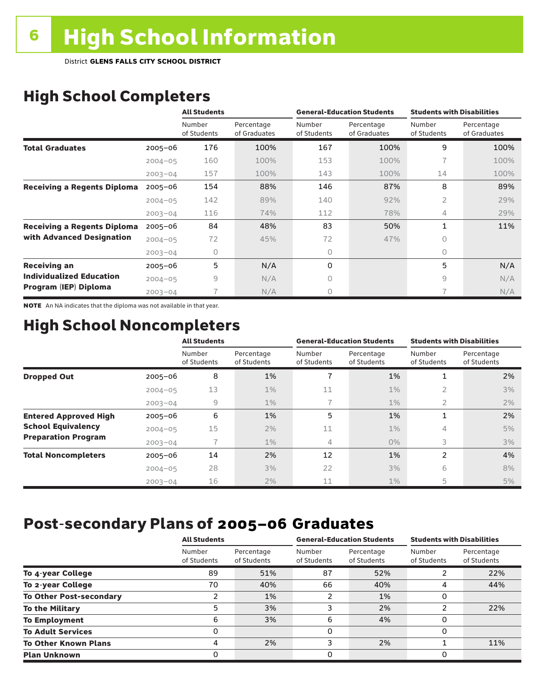District **GLENS FALLS CITY SCHOOL DISTRICT**

# High School Completers

|                                    |             | <b>All Students</b>   |                            |                       | <b>General-Education Students</b> | <b>Students with Disabilities</b> |                            |
|------------------------------------|-------------|-----------------------|----------------------------|-----------------------|-----------------------------------|-----------------------------------|----------------------------|
|                                    |             | Number<br>of Students | Percentage<br>of Graduates | Number<br>of Students | Percentage<br>of Graduates        | Number<br>of Students             | Percentage<br>of Graduates |
| <b>Total Graduates</b>             | $2005 - 06$ | 176                   | 100%                       | 167                   | 100%                              | 9                                 | 100%                       |
|                                    | $2004 - 05$ | 160                   | 100%                       | 153                   | 100%                              | 7                                 | 100%                       |
|                                    | $2003 - 04$ | 157                   | 100%                       | 143                   | 100%                              | 14                                | 100%                       |
| <b>Receiving a Regents Diploma</b> | $2005 - 06$ | 154                   | 88%                        | 146                   | 87%                               | 8                                 | 89%                        |
|                                    | $2004 - 05$ | 142                   | 89%                        | 140                   | 92%                               | $\overline{2}$                    | 29%                        |
|                                    | $2003 - 04$ | 116                   | 74%                        | 112                   | 78%                               | 4                                 | 29%                        |
| <b>Receiving a Regents Diploma</b> | $2005 - 06$ | 84                    | 48%                        | 83                    | 50%                               | $\mathbf{1}$                      | 11%                        |
| with Advanced Designation          | $2004 - 05$ | 72                    | 45%                        | 72                    | 47%                               | 0                                 |                            |
|                                    | $2003 - 04$ | 0                     |                            | 0                     |                                   | 0                                 |                            |
| <b>Receiving an</b>                | $2005 - 06$ | 5                     | N/A                        | 0                     |                                   | 5                                 | N/A                        |
| <b>Individualized Education</b>    | $2004 - 05$ | 9                     | N/A                        | 0                     |                                   | 9                                 | N/A                        |
| Program (IEP) Diploma              | $2003 - 04$ |                       | N/A                        | 0                     |                                   | 7                                 | N/A                        |

NOTE An NA indicates that the diploma was not available in that year.

### High School Noncompleters

|                              |             | <b>All Students</b>   |                           |                       | <b>General-Education Students</b> | <b>Students with Disabilities</b> |                           |  |  |
|------------------------------|-------------|-----------------------|---------------------------|-----------------------|-----------------------------------|-----------------------------------|---------------------------|--|--|
|                              |             | Number<br>of Students | Percentage<br>of Students | Number<br>of Students | Percentage<br>of Students         | Number<br>of Students             | Percentage<br>of Students |  |  |
| <b>Dropped Out</b>           | $2005 - 06$ | 8                     | 1%                        | 7                     | 1%                                | 1                                 | 2%                        |  |  |
|                              | $2004 - 05$ | 13                    | $1\%$                     | 11                    | $1\%$                             | $\overline{2}$                    | 3%                        |  |  |
|                              | $2003 - 04$ | $\overline{9}$        | $1\%$                     |                       | $1\%$                             | 2                                 | 2%                        |  |  |
| <b>Entered Approved High</b> | $2005 - 06$ | 6                     | 1%                        | 5                     | 1%                                | 1                                 | 2%                        |  |  |
| <b>School Equivalency</b>    | $2004 - 05$ | 15                    | 2%                        | 11                    | $1\%$                             | 4                                 | 5%                        |  |  |
| <b>Preparation Program</b>   | $2003 - 04$ |                       | $1\%$                     | 4                     | $0\%$                             | 3                                 | 3%                        |  |  |
| <b>Total Noncompleters</b>   | $2005 - 06$ | 14                    | 2%                        | 12                    | 1%                                | 2                                 | 4%                        |  |  |
|                              | $2004 - 05$ | 28                    | 3%                        | 22                    | 3%                                | 6                                 | 8%                        |  |  |
|                              | $2003 - 04$ | 16                    | 2%                        | 11                    | $1\%$                             | 5                                 | 5%                        |  |  |

# Post-secondary Plans of 2005–06 **Graduates**

|                                | <b>All Students</b>   |                           |                       | <b>General-Education Students</b> | <b>Students with Disabilities</b> |                           |  |
|--------------------------------|-----------------------|---------------------------|-----------------------|-----------------------------------|-----------------------------------|---------------------------|--|
|                                | Number<br>of Students | Percentage<br>of Students | Number<br>of Students | Percentage<br>of Students         | Number<br>of Students             | Percentage<br>of Students |  |
| To 4-year College              | 89                    | 51%                       | 87                    | 52%                               |                                   | 22%                       |  |
| To 2-year College              | 70                    | 40%                       | 66                    | 40%                               | 4                                 | 44%                       |  |
| <b>To Other Post-secondary</b> |                       | 1%                        | 2                     | 1%                                | O                                 |                           |  |
| <b>To the Military</b>         | 5                     | 3%                        | 3                     | 2%                                | າ                                 | 22%                       |  |
| <b>To Employment</b>           | 6                     | 3%                        | 6                     | 4%                                | 0                                 |                           |  |
| <b>To Adult Services</b>       |                       |                           | 0                     |                                   | 0                                 |                           |  |
| <b>To Other Known Plans</b>    | 4                     | 2%                        | 3                     | 2%                                |                                   | 11%                       |  |
| <b>Plan Unknown</b>            |                       |                           | 0                     |                                   | 0                                 |                           |  |